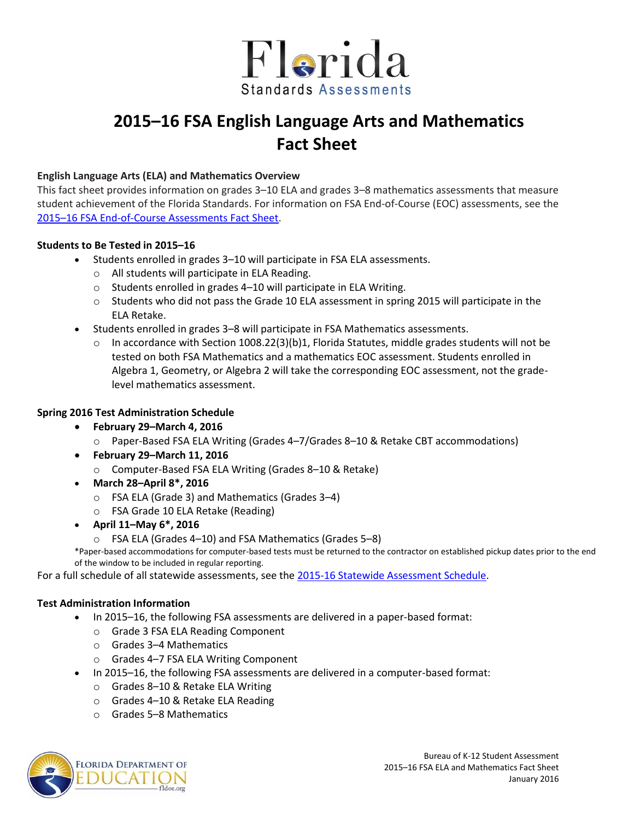

# **2015–16 FSA English Language Arts and Mathematics Fact Sheet**

### **English Language Arts (ELA) and Mathematics Overview**

This fact sheet provides information on grades 3–10 ELA and grades 3–8 mathematics assessments that measure student achievement of the Florida Standards. For information on FSA End-of-Course (EOC) assessments, see the 2015–[16 FSA End-of-Course Assessments Fact Sheet.](http://www.fldoe.org/core/fileparse.php/5663/urlt/FSAEOC1516.pdf)

#### **Students to Be Tested in 2015–16**

- Students enrolled in grades 3–10 will participate in FSA ELA assessments.
	- o All students will participate in ELA Reading.
	- o Students enrolled in grades 4–10 will participate in ELA Writing.
	- $\circ$  Students who did not pass the Grade 10 ELA assessment in spring 2015 will participate in the ELA Retake.
- Students enrolled in grades 3–8 will participate in FSA Mathematics assessments.
	- $\circ$  In accordance with Section 1008.22(3)(b)1, Florida Statutes, middle grades students will not be tested on both FSA Mathematics and a mathematics EOC assessment. Students enrolled in Algebra 1, Geometry, or Algebra 2 will take the corresponding EOC assessment, not the gradelevel mathematics assessment.

## **Spring 2016 Test Administration Schedule**

- **February 29–March 4, 2016** 
	- o Paper-Based FSA ELA Writing (Grades 4–7/Grades 8–10 & Retake CBT accommodations)
- **February 29–March 11, 2016** 
	- o Computer-Based FSA ELA Writing (Grades 8–10 & Retake)
- **March 28–April 8\*, 2016** 
	- o FSA ELA (Grade 3) and Mathematics (Grades 3–4)
	- o FSA Grade 10 ELA Retake (Reading)
- **April 11–May 6\*, 2016** 
	- o FSA ELA (Grades 4–10) and FSA Mathematics (Grades 5–8)

\*Paper-based accommodations for computer-based tests must be returned to the contractor on established pickup dates prior to the end of the window to be included in regular reporting.

For a full schedule of all statewide assessments, see the [2015-16 Statewide Assessment Schedule.](http://info.fldoe.org/docushare/dsweb/Get/Document-7147/dps-2014-118a.pdf)

#### **Test Administration Information**

- In 2015–16, the following FSA assessments are delivered in a paper-based format:
	- o Grade 3 FSA ELA Reading Component
	- o Grades 3–4 Mathematics
	- o Grades 4–7 FSA ELA Writing Component
- In 2015–16, the following FSA assessments are delivered in a computer-based format:
	- o Grades 8–10 & Retake ELA Writing
	- o Grades 4–10 & Retake ELA Reading
	- o Grades 5–8 Mathematics

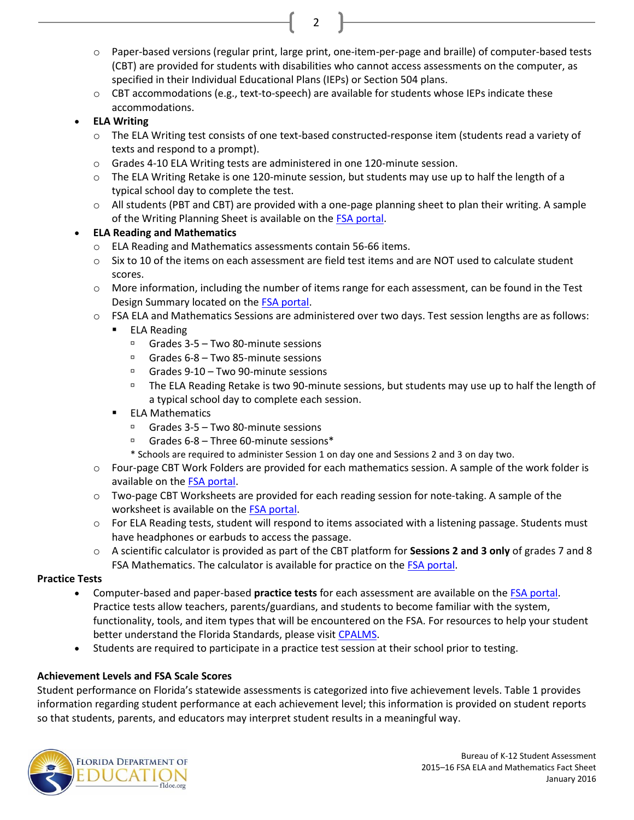- o Paper-based versions (regular print, large print, one-item-per-page and braille) of computer-based tests (CBT) are provided for students with disabilities who cannot access assessments on the computer, as specified in their Individual Educational Plans (IEPs) or Section 504 plans.
- o CBT accommodations (e.g., text-to-speech) are available for students whose IEPs indicate these accommodations.

2

# **ELA Writing**

- o The ELA Writing test consists of one text-based constructed-response item (students read a variety of texts and respond to a prompt).
- o Grades 4-10 ELA Writing tests are administered in one 120-minute session.
- $\circ$  The ELA Writing Retake is one 120-minute session, but students may use up to half the length of a typical school day to complete the test.
- o All students (PBT and CBT) are provided with a one-page planning sheet to plan their writing. A sample of the Writing Planning Sheet is available on th[e FSA portal](http://fsassessments.org/).

# **ELA Reading and Mathematics**

- o ELA Reading and Mathematics assessments contain 56-66 items.
- $\circ$  Six to 10 of the items on each assessment are field test items and are NOT used to calculate student scores.
- o More information, including the number of items range for each assessment, can be found in the Test Design Summary located on th[e FSA portal.](http://fsassessments.org/)
- o FSA ELA and Mathematics Sessions are administered over two days. Test session lengths are as follows:
	- **ELA Reading** 
		- $\Box$  Grades 3-5 Two 80-minute sessions
		- Grades  $6-8$  Two 85-minute sessions
		- Grades 9-10 Two 90-minute sessions
		- The ELA Reading Retake is two 90-minute sessions, but students may use up to half the length of a typical school day to complete each session.
	- $\blacksquare$  FLA Mathematics
		- Grades 3-5 Two 80-minute sessions
		- $G = Gr$  Grades 6-8 Three 60-minute sessions\*
		- \* Schools are required to administer Session 1 on day one and Sessions 2 and 3 on day two.
- o Four-page CBT Work Folders are provided for each mathematics session. A sample of the work folder is available on th[e FSA portal.](http://fsassessments.org/)
- o Two-page CBT Worksheets are provided for each reading session for note-taking. A sample of the worksheet is available on th[e FSA portal.](http://fsassessments.org/)
- o For ELA Reading tests, student will respond to items associated with a listening passage. Students must have headphones or earbuds to access the passage.
- o A scientific calculator is provided as part of the CBT platform for **Sessions 2 and 3 only** of grades 7 and 8 FSA Mathematics. The calculator is available for practice on th[e FSA portal.](http://www.fsassessments.org/)

## **Practice Tests**

- Computer-based and paper-based **practice tests** for each assessment are available on th[e FSA portal.](http://fsassessments.org/) Practice tests allow teachers, parents/guardians, and students to become familiar with the system, functionality, tools, and item types that will be encountered on the FSA. For resources to help your student better understand the Florida Standards, please visit [CPALMS.](http://www.floridastandards.org/)
- Students are required to participate in a practice test session at their school prior to testing.

# **Achievement Levels and FSA Scale Scores**

Student performance on Florida's statewide assessments is categorized into five achievement levels. Table 1 provides information regarding student performance at each achievement level; this information is provided on student reports so that students, parents, and educators may interpret student results in a meaningful way.

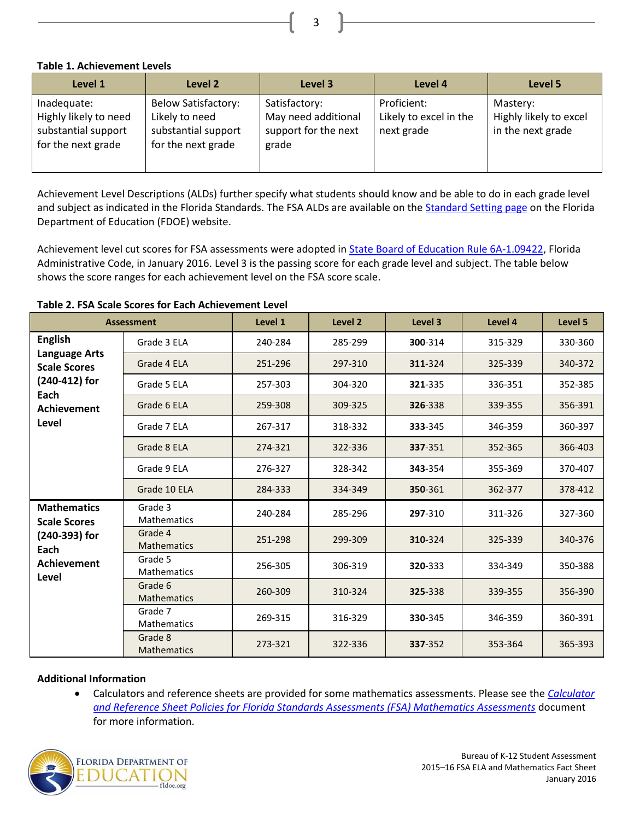**Table 1. Achievement Levels** 

| Level 1                                                                           | Level 2                                                                                   | Level 3                                                               | Level 4                                             | Level 5                                                 |
|-----------------------------------------------------------------------------------|-------------------------------------------------------------------------------------------|-----------------------------------------------------------------------|-----------------------------------------------------|---------------------------------------------------------|
| Inadequate:<br>Highly likely to need<br>substantial support<br>for the next grade | <b>Below Satisfactory:</b><br>Likely to need<br>substantial support<br>for the next grade | Satisfactory:<br>May need additional<br>support for the next<br>grade | Proficient:<br>Likely to excel in the<br>next grade | Mastery:<br>Highly likely to excel<br>in the next grade |

Achievement Level Descriptions (ALDs) further specify what students should know and be able to do in each grade level and subject as indicated in the Florida Standards. The FSA ALDs are available on the [Standard Setting page](http://www.fldoe.org/accountability/assessments/k-12-student-assessment/stard-setting.stml) on the Florida Department of Education (FDOE) website.

Achievement level cut scores for FSA assessments were adopted in **State Board of Education Rule 6A-1.09422**, Florida Administrative Code, in January 2016. Level 3 is the passing score for each grade level and subject. The table below shows the score ranges for each achievement level on the FSA score scale.

| <b>Assessment</b>                                                                                                     |                               | Level 1 | Level <sub>2</sub> | Level 3 | Level 4 | Level 5 |
|-----------------------------------------------------------------------------------------------------------------------|-------------------------------|---------|--------------------|---------|---------|---------|
| <b>English</b><br><b>Language Arts</b><br><b>Scale Scores</b><br>(240-412) for<br>Each<br><b>Achievement</b><br>Level | Grade 3 ELA                   | 240-284 | 285-299            | 300-314 | 315-329 | 330-360 |
|                                                                                                                       | Grade 4 ELA                   | 251-296 | 297-310            | 311-324 | 325-339 | 340-372 |
|                                                                                                                       | Grade 5 ELA                   | 257-303 | 304-320            | 321-335 | 336-351 | 352-385 |
|                                                                                                                       | Grade 6 ELA                   | 259-308 | 309-325            | 326-338 | 339-355 | 356-391 |
|                                                                                                                       | Grade 7 ELA                   | 267-317 | 318-332            | 333-345 | 346-359 | 360-397 |
|                                                                                                                       | Grade 8 ELA                   | 274-321 | 322-336            | 337-351 | 352-365 | 366-403 |
|                                                                                                                       | Grade 9 ELA                   | 276-327 | 328-342            | 343-354 | 355-369 | 370-407 |
|                                                                                                                       | Grade 10 ELA                  | 284-333 | 334-349            | 350-361 | 362-377 | 378-412 |
| <b>Mathematics</b><br><b>Scale Scores</b><br>(240-393) for<br>Each<br><b>Achievement</b><br>Level                     | Grade 3<br><b>Mathematics</b> | 240-284 | 285-296            | 297-310 | 311-326 | 327-360 |
|                                                                                                                       | Grade 4<br>Mathematics        | 251-298 | 299-309            | 310-324 | 325-339 | 340-376 |
|                                                                                                                       | Grade 5<br><b>Mathematics</b> | 256-305 | 306-319            | 320-333 | 334-349 | 350-388 |
|                                                                                                                       | Grade 6<br><b>Mathematics</b> | 260-309 | 310-324            | 325-338 | 339-355 | 356-390 |
|                                                                                                                       | Grade 7<br><b>Mathematics</b> | 269-315 | 316-329            | 330-345 | 346-359 | 360-391 |
|                                                                                                                       | Grade 8<br><b>Mathematics</b> | 273-321 | 322-336            | 337-352 | 353-364 | 365-393 |

**Table 2. FSA Scale Scores for Each Achievement Level** 

#### **Additional Information**

 Calculators and reference sheets are provided for some mathematics assessments. Please see the *[Calculator](http://fsassessments.org/wp-content/uploads/2014/06/FSA-Calculator-and-Reference-Sheet-Policy-Updated-10022015.pdf)  [and Reference Sheet Policies for Florida Standards Assessments \(FSA\) Mathematics Assessments](http://fsassessments.org/wp-content/uploads/2014/06/FSA-Calculator-and-Reference-Sheet-Policy-Updated-10022015.pdf)* document for more information.



3